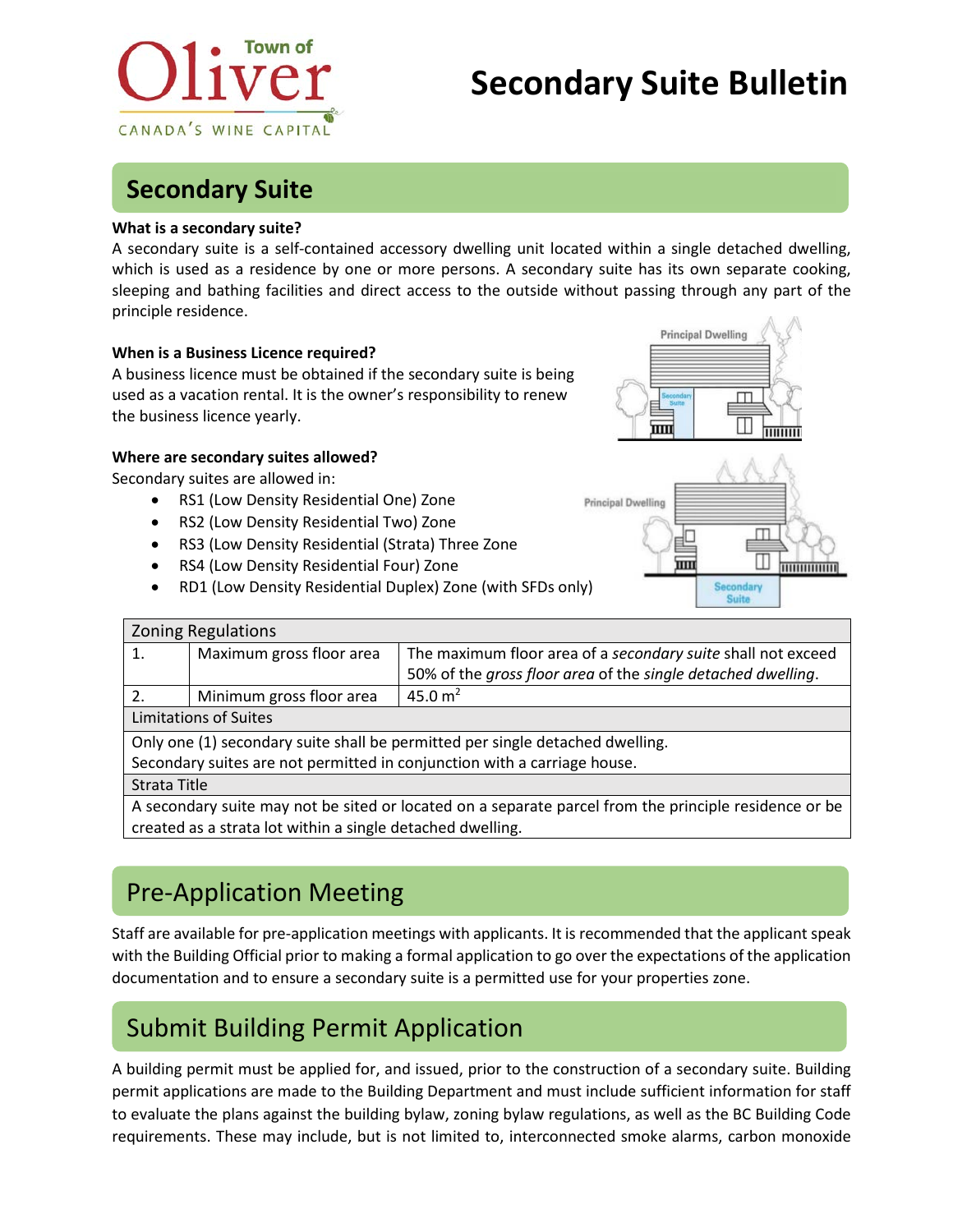

# **Secondary Suite Bulletin**

### **Secondary Suite**

#### **What is a secondary suite?**

A secondary suite is a self-contained accessory dwelling unit located within a single detached dwelling, which is used as a residence by one or more persons. A secondary suite has its own separate cooking, sleeping and bathing facilities and direct access to the outside without passing through any part of the principle residence.

#### **When is a Business Licence required?**

A business licence must be obtained if the secondary suite is being used as a vacation rental. It is the owner's responsibility to renew the business licence yearly.

#### **Where are secondary suites allowed?**

Secondary suites are allowed in:

- RS1 (Low Density Residential One) Zone
- RS2 (Low Density Residential Two) Zone
- RS3 (Low Density Residential (Strata) Three Zone
- RS4 (Low Density Residential Four) Zone
- RD1 (Low Density Residential Duplex) Zone (with SFDs only)

|             | <b>Principal Dwelling</b> |
|-------------|---------------------------|
| <b>Hita</b> |                           |
|             | 1111111111                |



| <b>Zoning Regulations</b>                                                                             |                          |                                                              |
|-------------------------------------------------------------------------------------------------------|--------------------------|--------------------------------------------------------------|
| 1.                                                                                                    | Maximum gross floor area | The maximum floor area of a secondary suite shall not exceed |
|                                                                                                       |                          | 50% of the gross floor area of the single detached dwelling. |
| 2.                                                                                                    | Minimum gross floor area | 45.0 $m2$                                                    |
| <b>Limitations of Suites</b>                                                                          |                          |                                                              |
| Only one (1) secondary suite shall be permitted per single detached dwelling.                         |                          |                                                              |
| Secondary suites are not permitted in conjunction with a carriage house.                              |                          |                                                              |
| Strata Title                                                                                          |                          |                                                              |
| A secondary suite may not be sited or located on a separate parcel from the principle residence or be |                          |                                                              |
| created as a strata lot within a single detached dwelling.                                            |                          |                                                              |

# Pre-Application Meeting

Staff are available for pre-application meetings with applicants. It is recommended that the applicant speak with the Building Official prior to making a formal application to go over the expectations of the application documentation and to ensure a secondary suite is a permitted use for your properties zone.

# Submit Building Permit Application

A building permit must be applied for, and issued, prior to the construction of a secondary suite. Building permit applications are made to the Building Department and must include sufficient information for staff to evaluate the plans against the building bylaw, zoning bylaw regulations, as well as the BC Building Code requirements. These may include, but is not limited to, interconnected smoke alarms, carbon monoxide